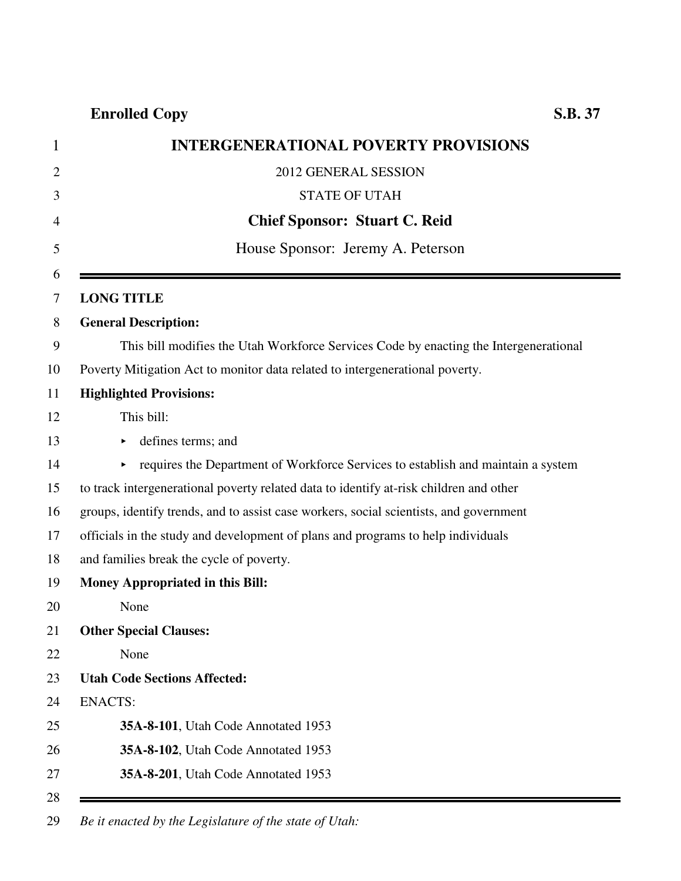**Enrolled Copy S.B. 37**

| <b>INTERGENERATIONAL POVERTY PROVISIONS</b>                                            |
|----------------------------------------------------------------------------------------|
| 2012 GENERAL SESSION                                                                   |
| <b>STATE OF UTAH</b>                                                                   |
| <b>Chief Sponsor: Stuart C. Reid</b>                                                   |
| House Sponsor: Jeremy A. Peterson                                                      |
| <b>LONG TITLE</b>                                                                      |
| <b>General Description:</b>                                                            |
| This bill modifies the Utah Workforce Services Code by enacting the Intergenerational  |
| Poverty Mitigation Act to monitor data related to intergenerational poverty.           |
| <b>Highlighted Provisions:</b>                                                         |
| This bill:                                                                             |
| defines terms; and                                                                     |
| requires the Department of Workforce Services to establish and maintain a system       |
| to track intergenerational poverty related data to identify at-risk children and other |
| groups, identify trends, and to assist case workers, social scientists, and government |
| officials in the study and development of plans and programs to help individuals       |
| and families break the cycle of poverty.                                               |
| <b>Money Appropriated in this Bill:</b>                                                |
| None                                                                                   |
| <b>Other Special Clauses:</b>                                                          |
| None                                                                                   |
| <b>Utah Code Sections Affected:</b>                                                    |
| <b>ENACTS:</b>                                                                         |
| 35A-8-101, Utah Code Annotated 1953                                                    |
| 35A-8-102, Utah Code Annotated 1953                                                    |
| 35A-8-201, Utah Code Annotated 1953                                                    |

29 *Be it enacted by the Legislature of the state of Utah:*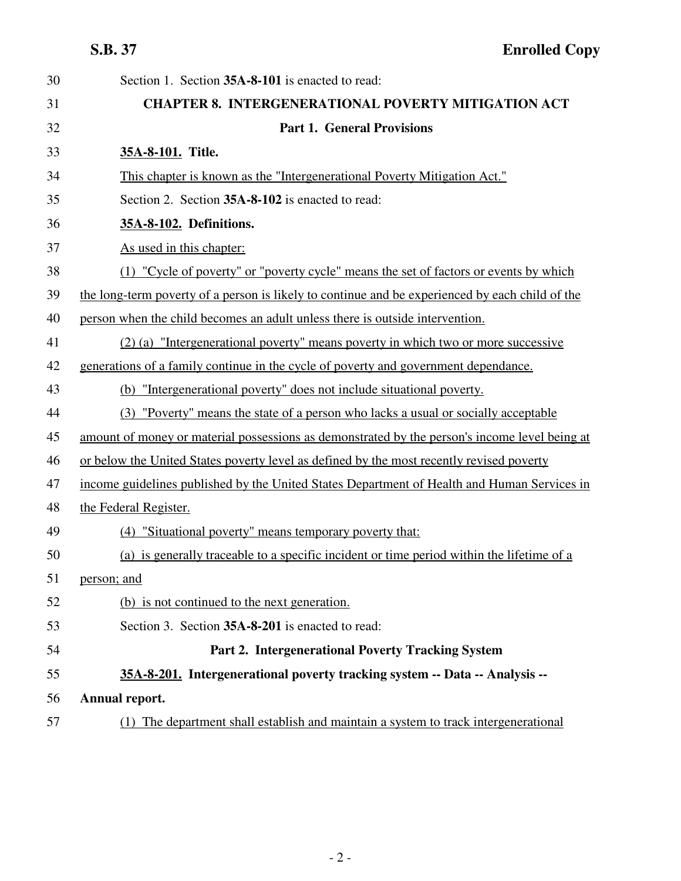| 30 | Section 1. Section 35A-8-101 is enacted to read:                                                |
|----|-------------------------------------------------------------------------------------------------|
| 31 | <b>CHAPTER 8. INTERGENERATIONAL POVERTY MITIGATION ACT</b>                                      |
| 32 | <b>Part 1. General Provisions</b>                                                               |
| 33 | 35A-8-101. Title.                                                                               |
| 34 | This chapter is known as the "Intergenerational Poverty Mitigation Act."                        |
| 35 | Section 2. Section 35A-8-102 is enacted to read:                                                |
| 36 | 35A-8-102. Definitions.                                                                         |
| 37 | As used in this chapter:                                                                        |
| 38 | (1) "Cycle of poverty" or "poverty cycle" means the set of factors or events by which           |
| 39 | the long-term poverty of a person is likely to continue and be experienced by each child of the |
| 40 | person when the child becomes an adult unless there is outside intervention.                    |
| 41 | (2) (a) "Intergenerational poverty" means poverty in which two or more successive               |
| 42 | generations of a family continue in the cycle of poverty and government dependance.             |
| 43 | (b) "Intergenerational poverty" does not include situational poverty.                           |
| 44 | (3) "Poverty" means the state of a person who lacks a usual or socially acceptable              |
| 45 | amount of money or material possessions as demonstrated by the person's income level being at   |
| 46 | or below the United States poverty level as defined by the most recently revised poverty        |
| 47 | income guidelines published by the United States Department of Health and Human Services in     |
| 48 | the Federal Register.                                                                           |
| 49 | (4) "Situational poverty" means temporary poverty that:                                         |
| 50 | (a) is generally traceable to a specific incident or time period within the lifetime of a       |
| 51 | person; and                                                                                     |
| 52 | (b) is not continued to the next generation.                                                    |
| 53 | Section 3. Section 35A-8-201 is enacted to read:                                                |
| 54 | Part 2. Intergenerational Poverty Tracking System                                               |
| 55 | 35A-8-201. Intergenerational poverty tracking system -- Data -- Analysis --                     |
| 56 | Annual report.                                                                                  |
| 57 | The department shall establish and maintain a system to track intergenerational<br>(1)          |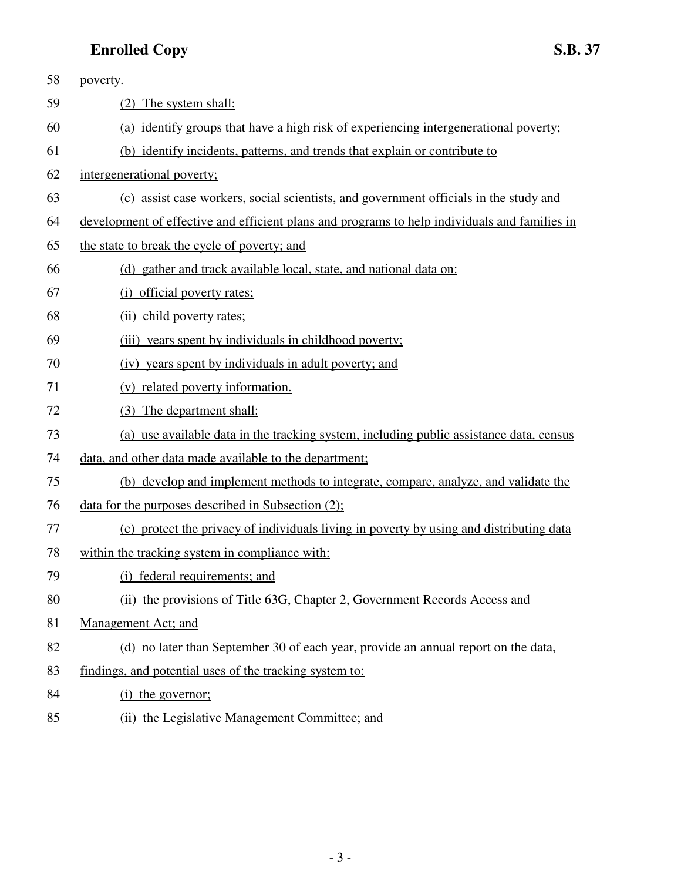## **Enrolled Copy S.B. 37**

| 58 | poverty.                                                                                      |
|----|-----------------------------------------------------------------------------------------------|
| 59 | (2) The system shall:                                                                         |
| 60 | (a) identify groups that have a high risk of experiencing intergenerational poverty;          |
| 61 | (b) identify incidents, patterns, and trends that explain or contribute to                    |
| 62 | intergenerational poverty;                                                                    |
| 63 | (c) assist case workers, social scientists, and government officials in the study and         |
| 64 | development of effective and efficient plans and programs to help individuals and families in |
| 65 | the state to break the cycle of poverty; and                                                  |
| 66 | (d) gather and track available local, state, and national data on:                            |
| 67 | (i) official poverty rates;                                                                   |
| 68 | (ii) child poverty rates:                                                                     |
| 69 | (iii) years spent by individuals in childhood poverty;                                        |
| 70 | (iv) years spent by individuals in adult poverty; and                                         |
| 71 | (v) related poverty information.                                                              |
| 72 | (3) The department shall:                                                                     |
| 73 | (a) use available data in the tracking system, including public assistance data, census       |
| 74 | data, and other data made available to the department;                                        |
| 75 | (b) develop and implement methods to integrate, compare, analyze, and validate the            |
| 76 | data for the purposes described in Subsection $(2)$ ;                                         |
| 77 | (c) protect the privacy of individuals living in poverty by using and distributing data       |
| 78 | within the tracking system in compliance with:                                                |
| 79 | federal requirements; and<br>(i)                                                              |
| 80 | (ii) the provisions of Title 63G, Chapter 2, Government Records Access and                    |
| 81 | Management Act; and                                                                           |
| 82 | (d) no later than September 30 of each year, provide an annual report on the data,            |
| 83 | findings, and potential uses of the tracking system to:                                       |
| 84 | (i) the governor;                                                                             |
|    |                                                                                               |

85 (ii) the Legislative Management Committee; and